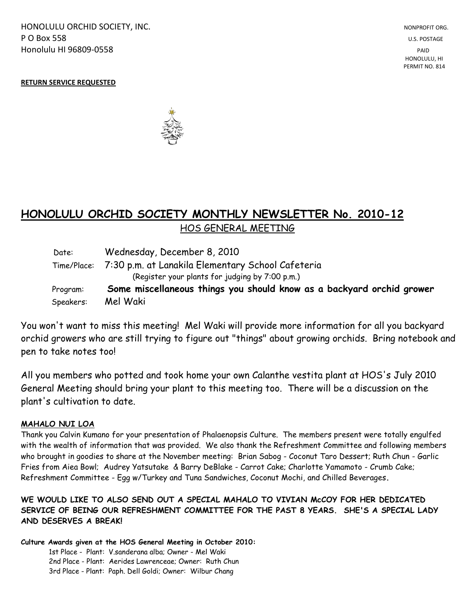HONOLULU ORCHID SOCIETY, INC. NONPROFIT ORG. NONPROFIT ORG. **P O Box 558** U.S. POSTAGE Honolulu HI 96809-0558 PAID

 HONOLULU, HI PERMIT NO. 814

#### **RETURN SERVICE REQUESTED**



# **HONOLULU ORCHID SOCIETY MONTHLY NEWSLETTER No. 2010-12**  HOS GENERAL MEETING

| Speakers: | Mel Waki                                                              |
|-----------|-----------------------------------------------------------------------|
| Program:  | Some miscellaneous things you should know as a backyard orchid grower |
|           | (Register your plants for judging by 7:00 p.m.)                       |
|           | Time/Place: 7:30 p.m. at Lanakila Elementary School Cafeteria         |
| Date:     | Wednesday, December 8, 2010                                           |

You won't want to miss this meeting! Mel Waki will provide more information for all you backyard orchid growers who are still trying to figure out "things" about growing orchids. Bring notebook and pen to take notes too!

All you members who potted and took home your own Calanthe vestita plant at HOS's July 2010 General Meeting should bring your plant to this meeting too. There will be a discussion on the plant's cultivation to date.

#### **MAHALO NUI LOA**

Thank you Calvin Kumano for your presentation of Phalaenopsis Culture. The members present were totally engulfed with the wealth of information that was provided. We also thank the Refreshment Committee and following members who brought in goodies to share at the November meeting: Brian Sabog - Coconut Taro Dessert; Ruth Chun - Garlic Fries from Aiea Bowl; Audrey Yatsutake & Barry DeBlake - Carrot Cake; Charlotte Yamamoto - Crumb Cake; Refreshment Committee - Egg w/Turkey and Tuna Sandwiches, Coconut Mochi, and Chilled Beverages**.**

### **WE WOULD LIKE TO ALSO SEND OUT A SPECIAL MAHALO TO VIVIAN McCOY FOR HER DEDICATED SERVICE OF BEING OUR REFRESHMENT COMMITTEE FOR THE PAST 8 YEARS. SHE'S A SPECIAL LADY AND DESERVES A BREAK!**

**Culture Awards given at the HOS General Meeting in October 2010:**

1st Place - Plant: V.sanderana alba; Owner - Mel Waki 2nd Place - Plant: Aerides Lawrenceae; Owner: Ruth Chun 3rd Place - Plant: Paph. Dell Goldi; Owner: Wilbur Chang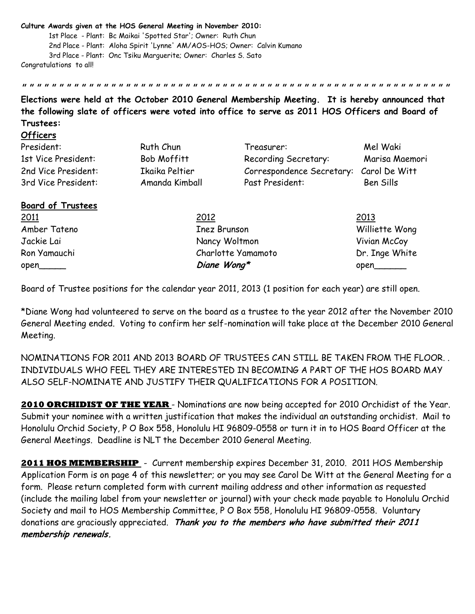#### **Culture Awards given at the HOS General Meeting in November 2010:**

**Officers** 

1st Place - Plant: Bc Maikai 'Spotted Star'; Owner: Ruth Chun 2nd Place - Plant: Aloha Spirit 'Lynne' AM/AOS-HOS; Owner: Calvin Kumano 3rd Place - Plant: Onc Tsiku Marguerite; Owner: Charles S. Sato Congratulations to all!

**Elections were held at the October 2010 General Membership Meeting. It is hereby announced that the following slate of officers were voted into office to serve as 2011 HOS Officers and Board of Trustees:**

**" " " " " " " " " " " " " " " " " " " " " " " " " " " " " " " " " " " " " " " " " " " " " " " " " " " " " " " " " "** 

| President:               | Ruth Chun      | Treasurer:                | Mel Waki       |
|--------------------------|----------------|---------------------------|----------------|
| 1st Vice President:      | Bob Moffitt    | Recording Secretary:      | Marisa Maemori |
| 2nd Vice President:      | Ikaika Peltier | Correspondence Secretary: | Carol De Witt  |
| 3rd Vice President:      | Amanda Kimball | Past President:           | Ben Sills      |
| <b>Board of Trustees</b> |                |                           |                |
| 2011                     | 2012           |                           | 2013           |
| Amber Tateno             |                | Inez Brunson              | Williette Wong |
| Jackie Lai               |                | Nancy Woltmon             | Vivian McCoy   |

Board of Trustee positions for the calendar year 2011, 2013 (1 position for each year) are still open.

Ron Yamauchi Charlotte Yamamoto Dr. Inge White open\_\_\_\_\_\_ **biane Wong\*** open\_\_\_\_\_\_\_

\*Diane Wong had volunteered to serve on the board as a trustee to the year 2012 after the November 2010 General Meeting ended. Voting to confirm her self-nomination will take place at the December 2010 General Meeting.

NOMINATIONS FOR 2011 AND 2013 BOARD OF TRUSTEES CAN STILL BE TAKEN FROM THE FLOOR. . INDIVIDUALS WHO FEEL THEY ARE INTERESTED IN BECOMING A PART OF THE HOS BOARD MAY ALSO SELF-NOMINATE AND JUSTIFY THEIR QUALIFICATIONS FOR A POSITION.

**2010 ORCHIDIST OF THE YEAR** - Nominations are now being accepted for 2010 Orchidist of the Year. Submit your nominee with a written justification that makes the individual an outstanding orchidist. Mail to Honolulu Orchid Society, P O Box 558, Honolulu HI 96809-0558 or turn it in to HOS Board Officer at the General Meetings. Deadline is NLT the December 2010 General Meeting.

**2011 HOS MEMBERSHIP** - Current membership expires December 31, 2010. 2011 HOS Membership Application Form is on page 4 of this newsletter; or you may see Carol De Witt at the General Meeting for a form. Please return completed form with current mailing address and other information as requested (include the mailing label from your newsletter or journal) with your check made payable to Honolulu Orchid Society and mail to HOS Membership Committee, P O Box 558, Honolulu HI 96809-0558. Voluntary donations are graciously appreciated. **Thank you to the members who have submitted their 2011 membership renewals.**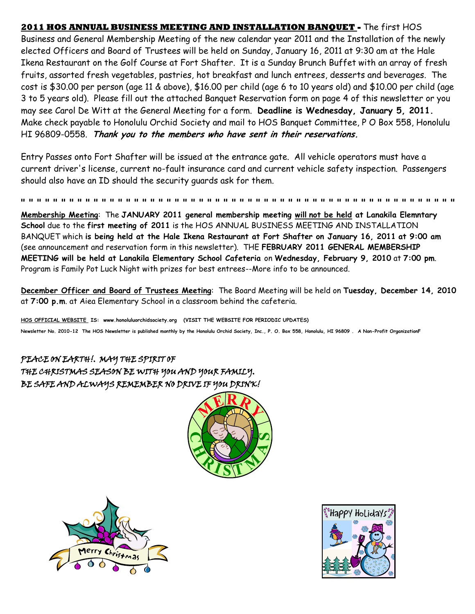**2011 HOS ANNUAL BUSINESS MEETING AND INSTALLATION BANQUET -** The first HOS Business and General Membership Meeting of the new calendar year 2011 and the Installation of the newly elected Officers and Board of Trustees will be held on Sunday, January 16, 2011 at 9:30 am at the Hale Ikena Restaurant on the Golf Course at Fort Shafter. It is a Sunday Brunch Buffet with an array of fresh fruits, assorted fresh vegetables, pastries, hot breakfast and lunch entrees, desserts and beverages. The cost is \$30.00 per person (age 11 & above), \$16.00 per child (age 6 to 10 years old) and \$10.00 per child (age 3 to 5 years old). Please fill out the attached Banquet Reservation form on page 4 of this newsletter or you may see Carol De Witt at the General Meeting for a form. **Deadline is Wednesday, January 5, 2011.** Make check payable to Honolulu Orchid Society and mail to HOS Banquet Committee, P O Box 558, Honolulu HI 96809-0558. **Thank you to the members who have sent in their reservations.**

Entry Passes onto Fort Shafter will be issued at the entrance gate. All vehicle operators must have a current driver's license, current no-fault insurance card and current vehicle safety inspection. Passengers should also have an ID should the security guards ask for them.

**" " " " " " " " " " " " " " " " " " " " " " " " " " " " " " " " " " " " " " " " " " " " " " " " " " " " " " Membership Meeting**: The **JANUARY 2011 general membership meeting will not be held at Lanakila Elemntary School** due to the **first meeting of 2011** is the HOS ANNUAL BUSINESS MEETING AND INSTALLATION BANQUET which **is being held at the Hale Ikena Restaurant at Fort Shafter on January 16, 2011 at 9:00 am** (see announcement and reservation form in this newsletter). THE **FEBRUARY 2011 GENERAL MEMBERSHIP MEETING will be held at Lanakila Elementary School Cafeteria** on **Wednesday, February 9, 2010** at **7:00 pm**. Program is Family Pot Luck Night with prizes for best entrees--More info to be announced.

**December Officer and Board of Trustees Meeting**: The Board Meeting will be held on **Tuesday, December 14, 2010** at **7:00 p.m**. at Aiea Elementary School in a classroom behind the cafeteria.

**HOS OFFICIAL WEBSITE IS: www.honoluluorchidsociety.org (VISIT THE WEBSITE FOR PERIODIC UPDATES) Newsletter No. 2010-12 The HOS Newsletter is published monthly by the Honolulu Orchid Society, Inc., P. O. Box 558, Honolulu, HI 96809 . A Non-Profit OrganizationF**

## PEACE ON EARTH!. MAY THE SPIRIT OF THE CHRISTMAS SEASON BE WITH YOU AND YOUR FAMILY. BE SAFE AND ALWAYS REMEMBER NO DRIVE IF YOU DRINK!